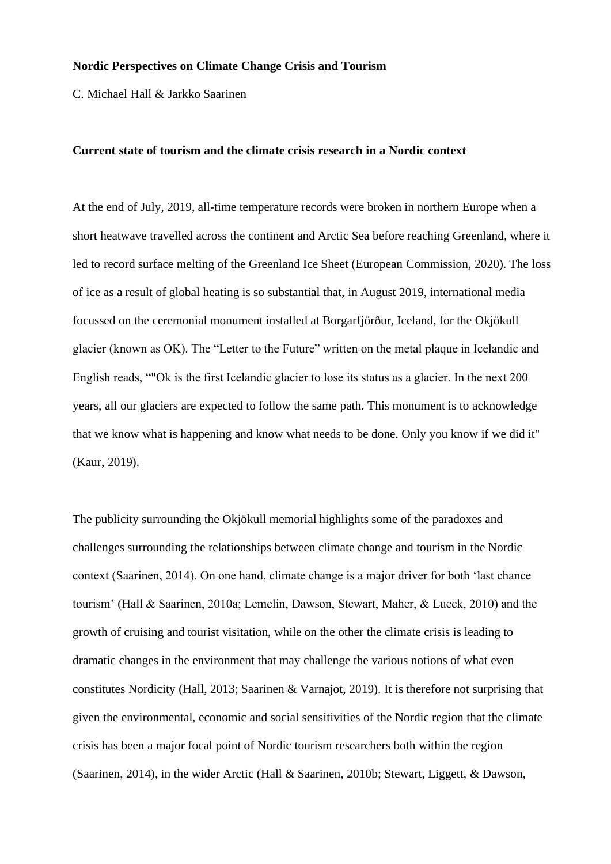## **Nordic Perspectives on Climate Change Crisis and Tourism**

C. Michael Hall & Jarkko Saarinen

#### **Current state of tourism and the climate crisis research in a Nordic context**

At the end of July, 2019, all-time temperature records were broken in northern Europe when a short heatwave travelled across the continent and Arctic Sea before reaching Greenland, where it led to record surface melting of the Greenland Ice Sheet (European Commission, 2020). The loss of ice as a result of global heating is so substantial that, in August 2019, international media focussed on the ceremonial monument installed at Borgarfjörður, Iceland, for the Okjökull glacier (known as OK). The "Letter to the Future" written on the metal plaque in Icelandic and English reads, ""Ok is the first Icelandic glacier to lose its status as a glacier. In the next 200 years, all our glaciers are expected to follow the same path. This monument is to acknowledge that we know what is happening and know what needs to be done. Only you know if we did it" (Kaur, 2019).

The publicity surrounding the Okjökull memorial highlights some of the paradoxes and challenges surrounding the relationships between climate change and tourism in the Nordic context (Saarinen, 2014). On one hand, climate change is a major driver for both 'last chance tourism' (Hall & Saarinen, 2010a; Lemelin, Dawson, Stewart, Maher, & Lueck, 2010) and the growth of cruising and tourist visitation, while on the other the climate crisis is leading to dramatic changes in the environment that may challenge the various notions of what even constitutes Nordicity (Hall, 2013; Saarinen & Varnajot, 2019). It is therefore not surprising that given the environmental, economic and social sensitivities of the Nordic region that the climate crisis has been a major focal point of Nordic tourism researchers both within the region (Saarinen, 2014), in the wider Arctic (Hall & Saarinen, 2010b; Stewart, Liggett, & Dawson,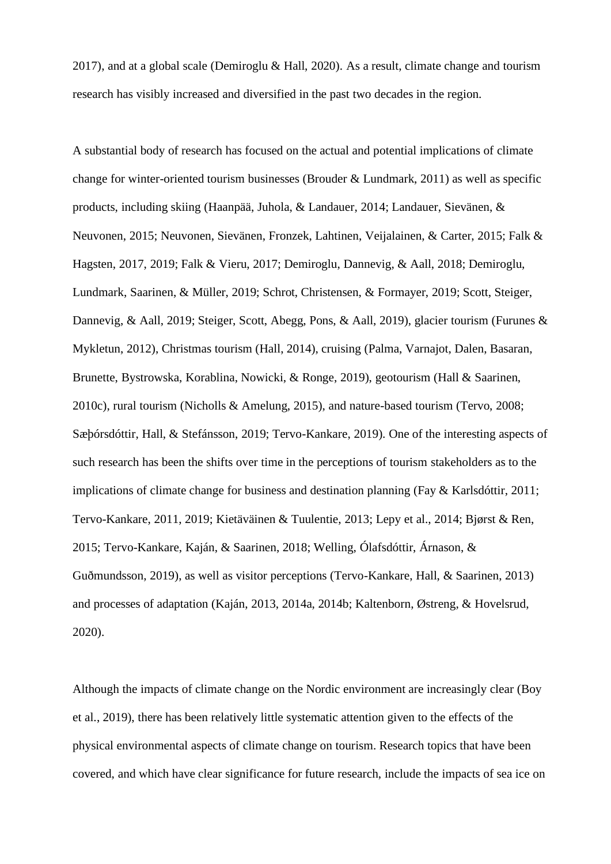2017), and at a global scale (Demiroglu & Hall, 2020). As a result, climate change and tourism research has visibly increased and diversified in the past two decades in the region.

A substantial body of research has focused on the actual and potential implications of climate change for winter-oriented tourism businesses (Brouder & Lundmark, 2011) as well as specific products, including skiing (Haanpää, Juhola, & Landauer, 2014; Landauer, Sievänen, & Neuvonen, 2015; Neuvonen, Sievänen, Fronzek, Lahtinen, Veijalainen, & Carter, 2015; Falk & Hagsten, 2017, 2019; Falk & Vieru, 2017; Demiroglu, Dannevig, & Aall, 2018; Demiroglu, Lundmark, Saarinen, & Müller, 2019; Schrot, Christensen, & Formayer, 2019; Scott, Steiger, Dannevig, & Aall, 2019; Steiger, Scott, Abegg, Pons, & Aall, 2019), glacier tourism (Furunes & Mykletun, 2012), Christmas tourism (Hall, 2014), cruising (Palma, Varnajot, Dalen, Basaran, Brunette, Bystrowska, Korablina, Nowicki, & Ronge, 2019), geotourism (Hall & Saarinen, 2010c), rural tourism (Nicholls & Amelung, 2015), and nature-based tourism (Tervo, 2008; Sæþórsdóttir, Hall, & Stefánsson, 2019; Tervo-Kankare, 2019). One of the interesting aspects of such research has been the shifts over time in the perceptions of tourism stakeholders as to the implications of climate change for business and destination planning (Fay & Karlsdóttir, 2011; Tervo-Kankare, 2011, 2019; Kietäväinen & Tuulentie, 2013; Lepy et al., 2014; Bjørst & Ren, 2015; Tervo-Kankare, Kaján, & Saarinen, 2018; Welling, Ólafsdóttir, Árnason, & Guðmundsson, 2019), as well as visitor perceptions (Tervo-Kankare, Hall, & Saarinen, 2013) and processes of adaptation (Kaján, 2013, 2014a, 2014b; Kaltenborn, Østreng, & Hovelsrud, 2020).

Although the impacts of climate change on the Nordic environment are increasingly clear (Boy et al., 2019), there has been relatively little systematic attention given to the effects of the physical environmental aspects of climate change on tourism. Research topics that have been covered, and which have clear significance for future research, include the impacts of sea ice on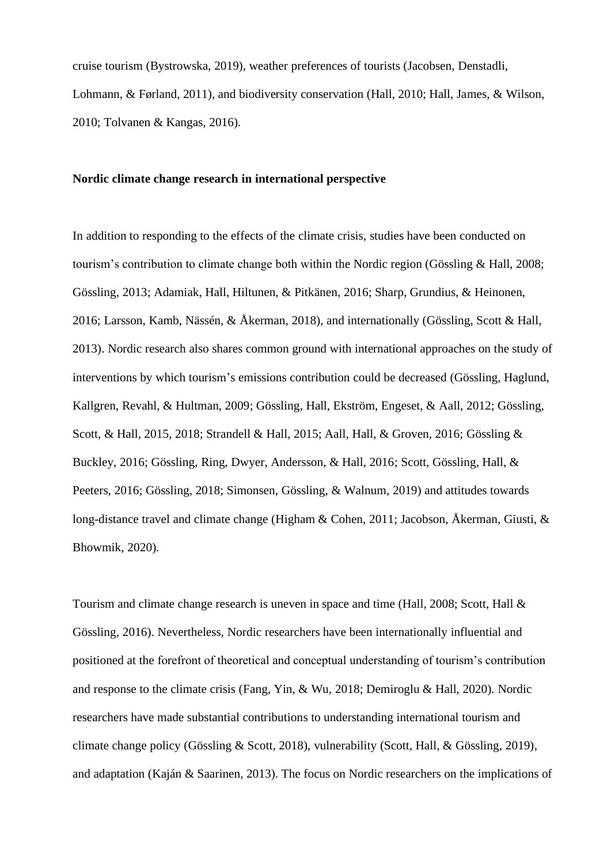cruise tourism (Bystrowska, 2019), weather preferences of tourists (Jacobsen, Denstadli, Lohmann, & Førland, 2011), and biodiversity conservation (Hall, 2010; Hall, James, & Wilson, 2010; Tolvanen & Kangas, 2016).

# **Nordic climate change research in international perspective**

In addition to responding to the effects of the climate crisis, studies have been conducted on tourism's contribution to climate change both within the Nordic region (Gössling & Hall, 2008; Gössling, 2013; Adamiak, Hall, Hiltunen, & Pitkänen, 2016; Sharp, Grundius, & Heinonen, 2016; Larsson, Kamb, Nässén, & Åkerman, 2018), and internationally (Gössling, Scott & Hall, 2013). Nordic research also shares common ground with international approaches on the study of interventions by which tourism's emissions contribution could be decreased (Gössling, Haglund, Kallgren, Revahl, & Hultman, 2009; Gössling, Hall, Ekström, Engeset, & Aall, 2012; Gössling, Scott, & Hall, 2015, 2018; Strandell & Hall, 2015; Aall, Hall, & Groven, 2016; Gössling & Buckley, 2016; Gössling, Ring, Dwyer, Andersson, & Hall, 2016; Scott, Gössling, Hall, & Peeters, 2016; Gössling, 2018; Simonsen, Gössling, & Walnum, 2019) and attitudes towards long-distance travel and climate change (Higham & Cohen, 2011; Jacobson, Åkerman, Giusti, & Bhowmik, 2020).

Tourism and climate change research is uneven in space and time (Hall, 2008; Scott, Hall & Gössling, 2016). Nevertheless, Nordic researchers have been internationally influential and positioned at the forefront of theoretical and conceptual understanding of tourism's contribution and response to the climate crisis (Fang, Yin, & Wu, 2018; Demiroglu & Hall, 2020). Nordic researchers have made substantial contributions to understanding international tourism and climate change policy (Gössling & Scott, 2018), vulnerability (Scott, Hall, & Gössling, 2019), and adaptation (Kaján & Saarinen, 2013). The focus on Nordic researchers on the implications of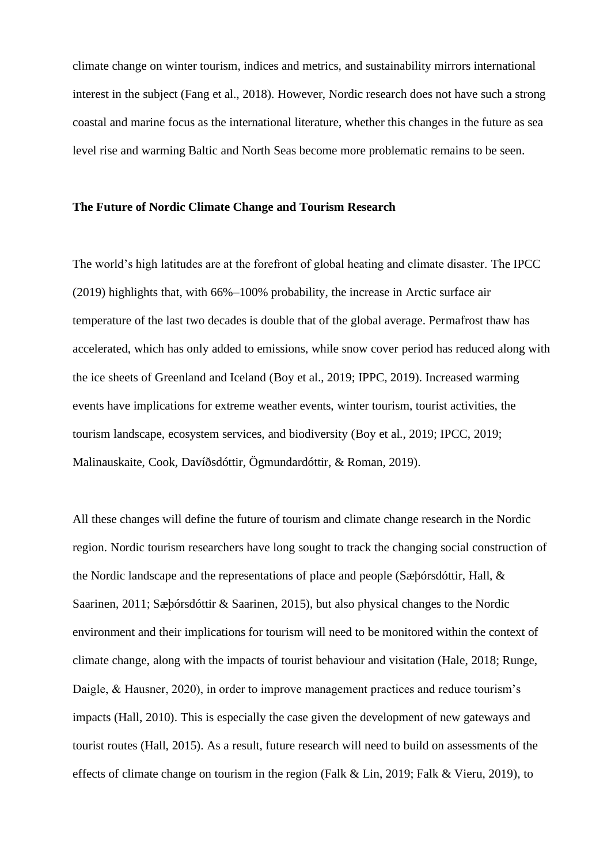climate change on winter tourism, indices and metrics, and sustainability mirrors international interest in the subject (Fang et al., 2018). However, Nordic research does not have such a strong coastal and marine focus as the international literature, whether this changes in the future as sea level rise and warming Baltic and North Seas become more problematic remains to be seen.

## **The Future of Nordic Climate Change and Tourism Research**

The world's high latitudes are at the forefront of global heating and climate disaster. The IPCC (2019) highlights that, with 66%–100% probability, the increase in Arctic surface air temperature of the last two decades is double that of the global average. Permafrost thaw has accelerated, which has only added to emissions, while snow cover period has reduced along with the ice sheets of Greenland and Iceland (Boy et al., 2019; IPPC, 2019). Increased warming events have implications for extreme weather events, winter tourism, tourist activities, the tourism landscape, ecosystem services, and biodiversity (Boy et al., 2019; IPCC, 2019; Malinauskaite, Cook, Davíðsdóttir, Ögmundardóttir, & Roman, 2019).

All these changes will define the future of tourism and climate change research in the Nordic region. Nordic tourism researchers have long sought to track the changing social construction of the Nordic landscape and the representations of place and people (Sæþórsdóttir, Hall, & Saarinen, 2011; Sæþórsdóttir & Saarinen, 2015), but also physical changes to the Nordic environment and their implications for tourism will need to be monitored within the context of climate change, along with the impacts of tourist behaviour and visitation (Hale, 2018; Runge, Daigle, & Hausner, 2020), in order to improve management practices and reduce tourism's impacts (Hall, 2010). This is especially the case given the development of new gateways and tourist routes (Hall, 2015). As a result, future research will need to build on assessments of the effects of climate change on tourism in the region (Falk & Lin, 2019; Falk & Vieru, 2019), to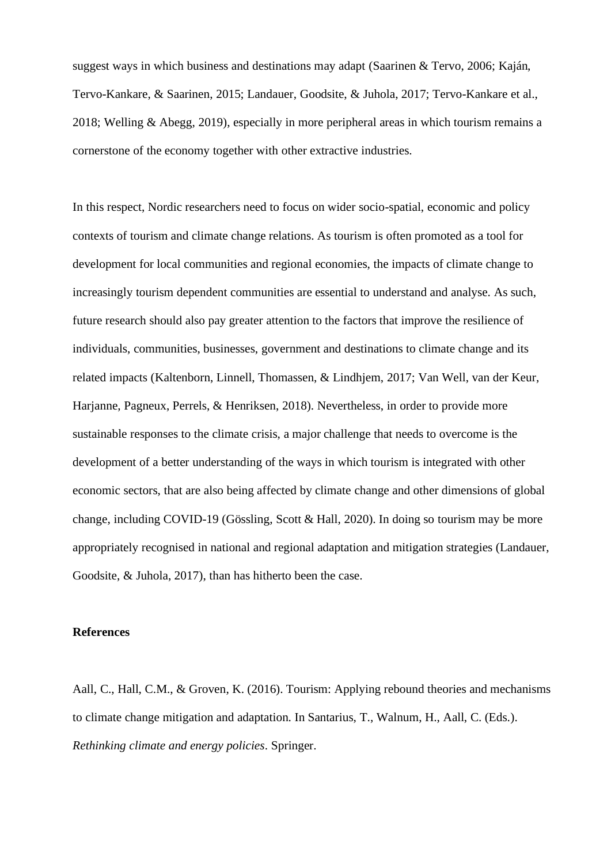suggest ways in which business and destinations may adapt (Saarinen & Tervo, 2006; Kaján, Tervo-Kankare, & Saarinen, 2015; Landauer, Goodsite, & Juhola, 2017; Tervo-Kankare et al., 2018; Welling & Abegg, 2019), especially in more peripheral areas in which tourism remains a cornerstone of the economy together with other extractive industries.

In this respect, Nordic researchers need to focus on wider socio-spatial, economic and policy contexts of tourism and climate change relations. As tourism is often promoted as a tool for development for local communities and regional economies, the impacts of climate change to increasingly tourism dependent communities are essential to understand and analyse. As such, future research should also pay greater attention to the factors that improve the resilience of individuals, communities, businesses, government and destinations to climate change and its related impacts (Kaltenborn, Linnell, Thomassen, & Lindhjem, 2017; Van Well, van der Keur, Harjanne, Pagneux, Perrels, & Henriksen, 2018). Nevertheless, in order to provide more sustainable responses to the climate crisis, a major challenge that needs to overcome is the development of a better understanding of the ways in which tourism is integrated with other economic sectors, that are also being affected by climate change and other dimensions of global change, including COVID-19 (Gössling, Scott & Hall, 2020). In doing so tourism may be more appropriately recognised in national and regional adaptation and mitigation strategies (Landauer, Goodsite, & Juhola, 2017), than has hitherto been the case.

## **References**

Aall, C., Hall, C.M., & Groven, K. (2016). Tourism: Applying rebound theories and mechanisms to climate change mitigation and adaptation. In Santarius, T., Walnum, H., Aall, C. (Eds.). *Rethinking climate and energy policies*. Springer.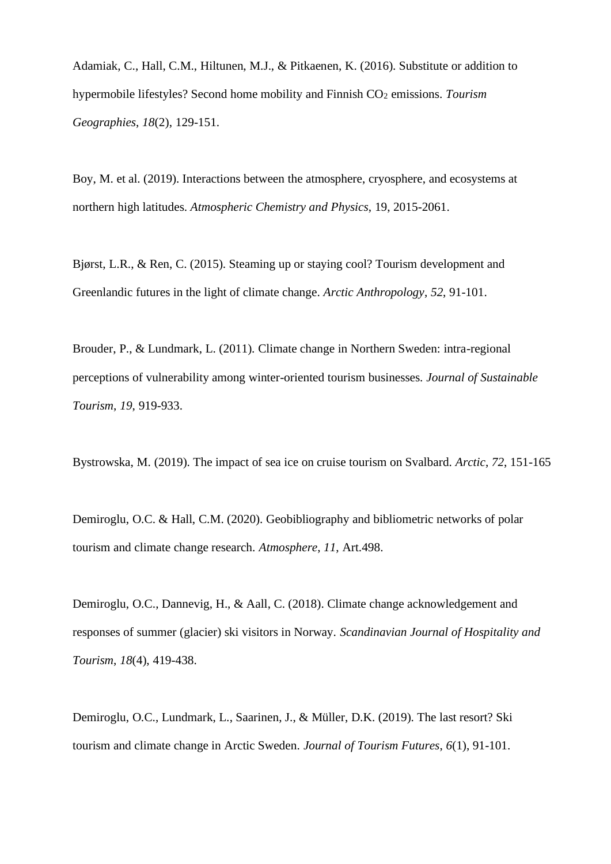Adamiak, C., Hall, C.M., Hiltunen, M.J., & Pitkaenen, K. (2016). Substitute or addition to hypermobile lifestyles? Second home mobility and Finnish CO<sub>2</sub> emissions. *Tourism Geographies*, *18*(2), 129-151.

Boy, M. et al. (2019). Interactions between the atmosphere, cryosphere, and ecosystems at northern high latitudes. *Atmospheric Chemistry and Physics*, 19, 2015-2061.

Bjørst, L.R., & Ren, C. (2015). Steaming up or staying cool? Tourism development and Greenlandic futures in the light of climate change. *Arctic Anthropology*, *52*, 91-101.

Brouder, P., & Lundmark, L. (2011). Climate change in Northern Sweden: intra-regional perceptions of vulnerability among winter-oriented tourism businesses. *Journal of Sustainable Tourism*, *19*, 919-933.

Bystrowska, M. (2019). The impact of sea ice on cruise tourism on Svalbard. *Arctic*, *72*, 151-165

Demiroglu, O.C. & Hall, C.M. (2020). Geobibliography and bibliometric networks of polar tourism and climate change research. *Atmosphere*, *11*, Art.498.

Demiroglu, O.C., Dannevig, H., & Aall, C. (2018). Climate change acknowledgement and responses of summer (glacier) ski visitors in Norway. *Scandinavian Journal of Hospitality and Tourism*, *18*(4), 419-438.

Demiroglu, O.C., Lundmark, L., Saarinen, J., & Müller, D.K. (2019). The last resort? Ski tourism and climate change in Arctic Sweden. *Journal of Tourism Futures*, *6*(1), 91-101.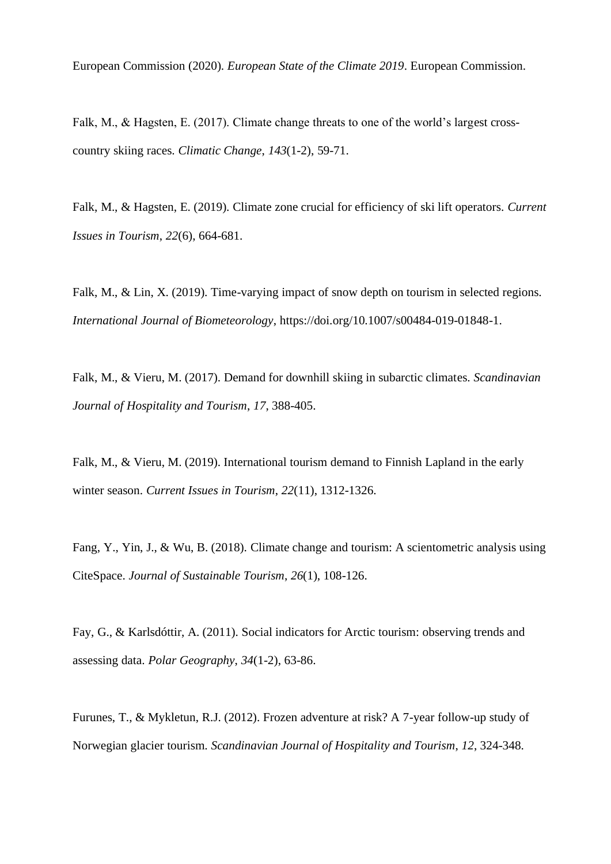European Commission (2020). *European State of the Climate 2019*. European Commission.

Falk, M., & Hagsten, E. (2017). Climate change threats to one of the world's largest crosscountry skiing races. *Climatic Change*, *143*(1-2), 59-71.

Falk, M., & Hagsten, E. (2019). Climate zone crucial for efficiency of ski lift operators. *Current Issues in Tourism*, *22*(6), 664-681.

Falk, M., & Lin, X. (2019). Time-varying impact of snow depth on tourism in selected regions. *International Journal of Biometeorology*, https://doi.org/10.1007/s00484-019-01848-1.

Falk, M., & Vieru, M. (2017). Demand for downhill skiing in subarctic climates. *Scandinavian Journal of Hospitality and Tourism*, *17*, 388-405.

Falk, M., & Vieru, M. (2019). International tourism demand to Finnish Lapland in the early winter season. *Current Issues in Tourism*, *22*(11), 1312-1326.

Fang, Y., Yin, J., & Wu, B. (2018). Climate change and tourism: A scientometric analysis using CiteSpace. *Journal of Sustainable Tourism*, *26*(1), 108-126.

Fay, G., & Karlsdóttir, A. (2011). Social indicators for Arctic tourism: observing trends and assessing data. *Polar Geography*, *34*(1-2), 63-86.

Furunes, T., & Mykletun, R.J. (2012). Frozen adventure at risk? A 7-year follow-up study of Norwegian glacier tourism. *Scandinavian Journal of Hospitality and Tourism*, *12*, 324-348.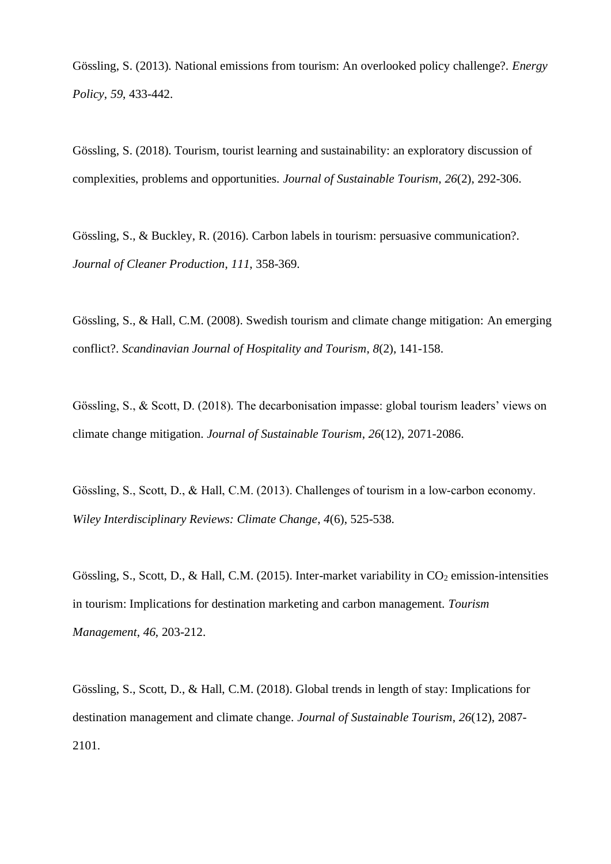Gössling, S. (2013). National emissions from tourism: An overlooked policy challenge?. *Energy Policy*, *59*, 433-442.

Gössling, S. (2018). Tourism, tourist learning and sustainability: an exploratory discussion of complexities, problems and opportunities. *Journal of Sustainable Tourism*, *26*(2), 292-306.

Gössling, S., & Buckley, R. (2016). Carbon labels in tourism: persuasive communication?. *Journal of Cleaner Production*, *111*, 358-369.

Gössling, S., & Hall, C.M. (2008). Swedish tourism and climate change mitigation: An emerging conflict?. *Scandinavian Journal of Hospitality and Tourism*, *8*(2), 141-158.

Gössling, S., & Scott, D. (2018). The decarbonisation impasse: global tourism leaders' views on climate change mitigation. *Journal of Sustainable Tourism*, *26*(12), 2071-2086.

Gössling, S., Scott, D., & Hall, C.M. (2013). Challenges of tourism in a low-carbon economy. *Wiley Interdisciplinary Reviews: Climate Change*, *4*(6), 525-538.

Gössling, S., Scott, D., & Hall, C.M. (2015). Inter-market variability in  $CO<sub>2</sub>$  emission-intensities in tourism: Implications for destination marketing and carbon management. *Tourism Management*, *46*, 203-212.

Gössling, S., Scott, D., & Hall, C.M. (2018). Global trends in length of stay: Implications for destination management and climate change. *Journal of Sustainable Tourism*, *26*(12), 2087- 2101.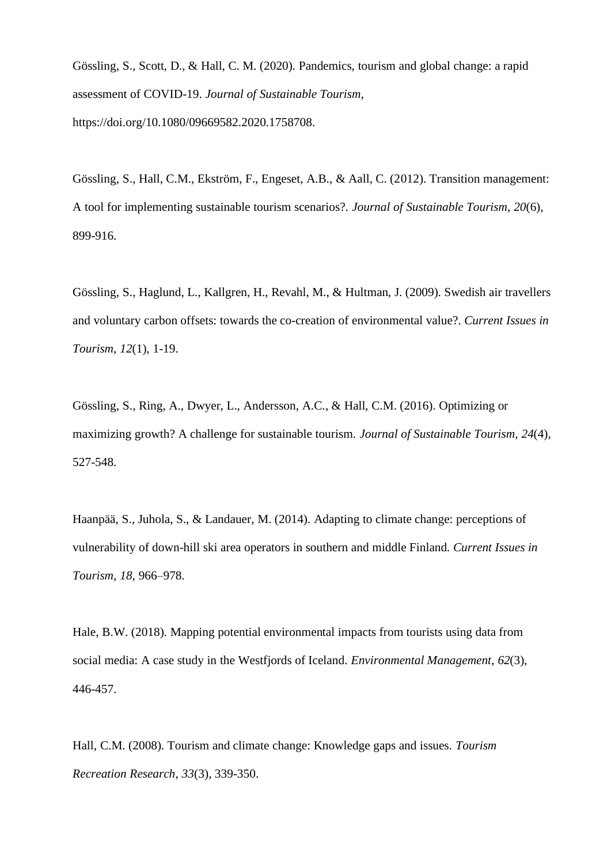Gössling, S., Scott, D., & Hall, C. M. (2020). Pandemics, tourism and global change: a rapid assessment of COVID-19. *Journal of Sustainable Tourism*, https://doi.org/10.1080/09669582.2020.1758708.

Gössling, S., Hall, C.M., Ekström, F., Engeset, A.B., & Aall, C. (2012). Transition management: A tool for implementing sustainable tourism scenarios?. *Journal of Sustainable Tourism*, *20*(6), 899-916.

Gössling, S., Haglund, L., Kallgren, H., Revahl, M., & Hultman, J. (2009). Swedish air travellers and voluntary carbon offsets: towards the co-creation of environmental value?. *Current Issues in Tourism*, *12*(1), 1-19.

Gössling, S., Ring, A., Dwyer, L., Andersson, A.C., & Hall, C.M. (2016). Optimizing or maximizing growth? A challenge for sustainable tourism. *Journal of Sustainable Tourism*, *24*(4), 527-548.

Haanpää, S., Juhola, S., & Landauer, M. (2014). Adapting to climate change: perceptions of vulnerability of down-hill ski area operators in southern and middle Finland. *Current Issues in Tourism, 18*, 966–978.

Hale, B.W. (2018). Mapping potential environmental impacts from tourists using data from social media: A case study in the Westfjords of Iceland. *Environmental Management*, *62*(3), 446-457.

Hall, C.M. (2008). Tourism and climate change: Knowledge gaps and issues. *Tourism Recreation Research*, *33*(3), 339-350.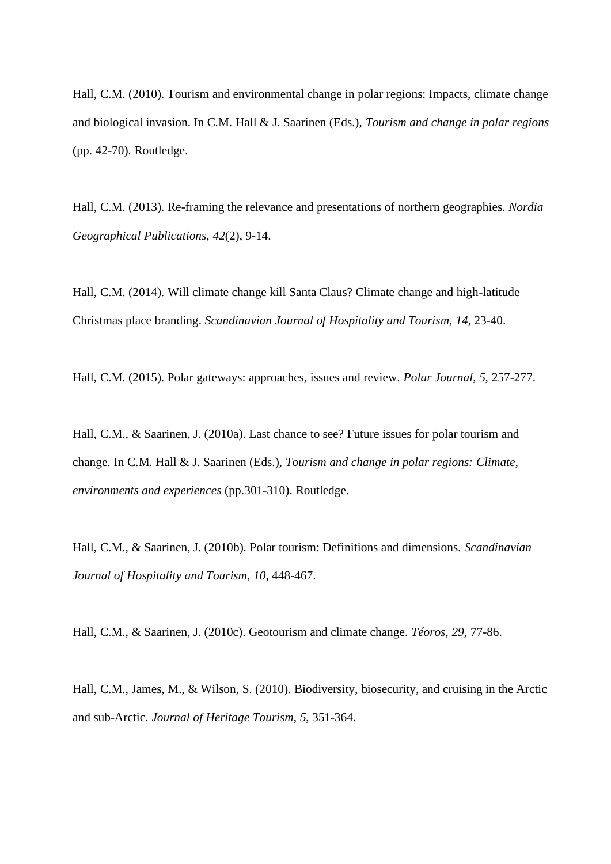Hall, C.M. (2010). Tourism and environmental change in polar regions: Impacts, climate change and biological invasion. In C.M. Hall & J. Saarinen (Eds.), *Tourism and change in polar regions* (pp. 42-70). Routledge.

Hall, C.M. (2013). Re-framing the relevance and presentations of northern geographies. *Nordia Geographical Publications*, *42*(2), 9-14.

Hall, C.M. (2014). Will climate change kill Santa Claus? Climate change and high-latitude Christmas place branding. *Scandinavian Journal of Hospitality and Tourism*, *14*, 23-40.

Hall, C.M. (2015). Polar gateways: approaches, issues and review. *Polar Journal*, *5*, 257-277.

Hall, C.M., & Saarinen, J. (2010a). Last chance to see? Future issues for polar tourism and change. In C.M. Hall & J. Saarinen (Eds.), *Tourism and change in polar regions: Climate, environments and experiences* (pp.301-310). Routledge.

Hall, C.M., & Saarinen, J. (2010b). Polar tourism: Definitions and dimensions. *Scandinavian Journal of Hospitality and Tourism*, *10*, 448-467.

Hall, C.M., & Saarinen, J. (2010c). Geotourism and climate change. *Téoros*, *29*, 77-86.

Hall, C.M., James, M., & Wilson, S. (2010). Biodiversity, biosecurity, and cruising in the Arctic and sub-Arctic. *Journal of Heritage Tourism*, *5*, 351-364.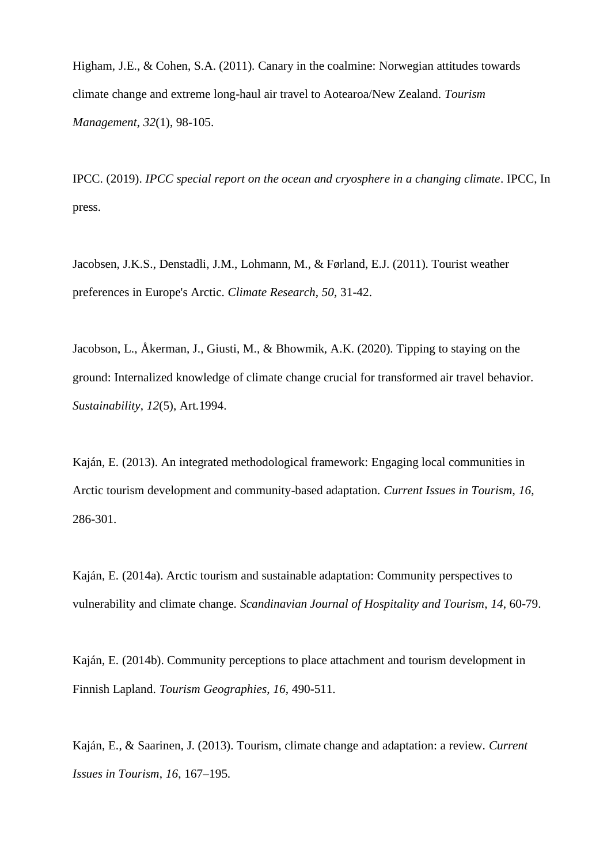Higham, J.E., & Cohen, S.A. (2011). Canary in the coalmine: Norwegian attitudes towards climate change and extreme long-haul air travel to Aotearoa/New Zealand. *Tourism Management*, *32*(1), 98-105.

IPCC. (2019). *IPCC special report on the ocean and cryosphere in a changing climate*. IPCC, In press.

Jacobsen, J.K.S., Denstadli, J.M., Lohmann, M., & Førland, E.J. (2011). Tourist weather preferences in Europe's Arctic. *Climate Research*, *50*, 31-42.

Jacobson, L., Åkerman, J., Giusti, M., & Bhowmik, A.K. (2020). Tipping to staying on the ground: Internalized knowledge of climate change crucial for transformed air travel behavior. *Sustainability*, *12*(5), Art.1994.

Kaján, E. (2013). An integrated methodological framework: Engaging local communities in Arctic tourism development and community-based adaptation. *Current Issues in Tourism*, *16*, 286-301.

Kaján, E. (2014a). Arctic tourism and sustainable adaptation: Community perspectives to vulnerability and climate change. *Scandinavian Journal of Hospitality and Tourism*, *14*, 60-79.

Kaján, E. (2014b). Community perceptions to place attachment and tourism development in Finnish Lapland. *Tourism Geographies*, *16*, 490-511.

Kaján, E., & Saarinen, J. (2013). Tourism, climate change and adaptation: a review. *Current Issues in Tourism*, *16*, 167–195.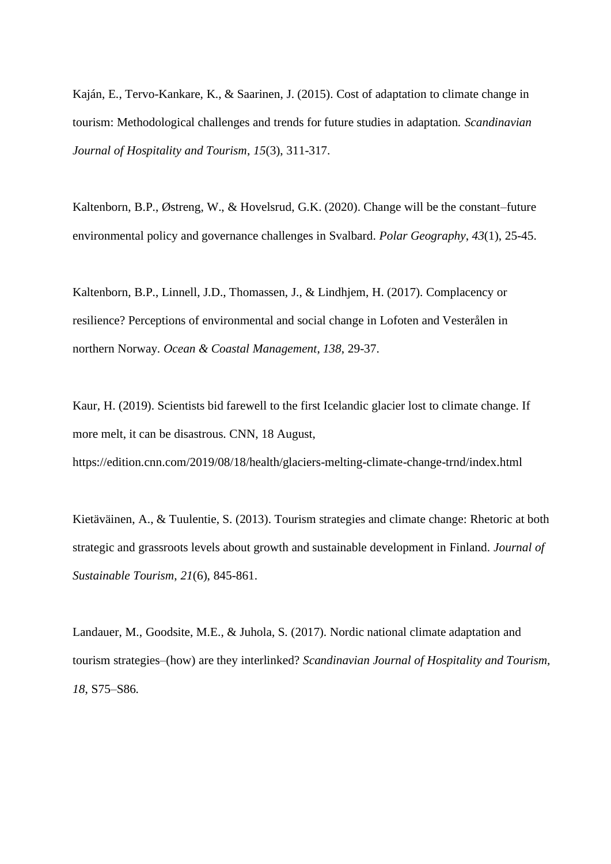Kaján, E., Tervo-Kankare, K., & Saarinen, J. (2015). Cost of adaptation to climate change in tourism: Methodological challenges and trends for future studies in adaptation. *Scandinavian Journal of Hospitality and Tourism*, *15*(3), 311-317.

Kaltenborn, B.P., Østreng, W., & Hovelsrud, G.K. (2020). Change will be the constant–future environmental policy and governance challenges in Svalbard. *Polar Geography*, *43*(1), 25-45.

Kaltenborn, B.P., Linnell, J.D., Thomassen, J., & Lindhjem, H. (2017). Complacency or resilience? Perceptions of environmental and social change in Lofoten and Vesterålen in northern Norway. *Ocean & Coastal Management*, *138*, 29-37.

Kaur, H. (2019). Scientists bid farewell to the first Icelandic glacier lost to climate change. If more melt, it can be disastrous. CNN, 18 August,

https://edition.cnn.com/2019/08/18/health/glaciers-melting-climate-change-trnd/index.html

Kietäväinen, A., & Tuulentie, S. (2013). Tourism strategies and climate change: Rhetoric at both strategic and grassroots levels about growth and sustainable development in Finland. *Journal of Sustainable Tourism*, *21*(6), 845-861.

Landauer, M., Goodsite, M.E., & Juhola, S. (2017). Nordic national climate adaptation and tourism strategies–(how) are they interlinked? *Scandinavian Journal of Hospitality and Tourism, 18*, S75–S86.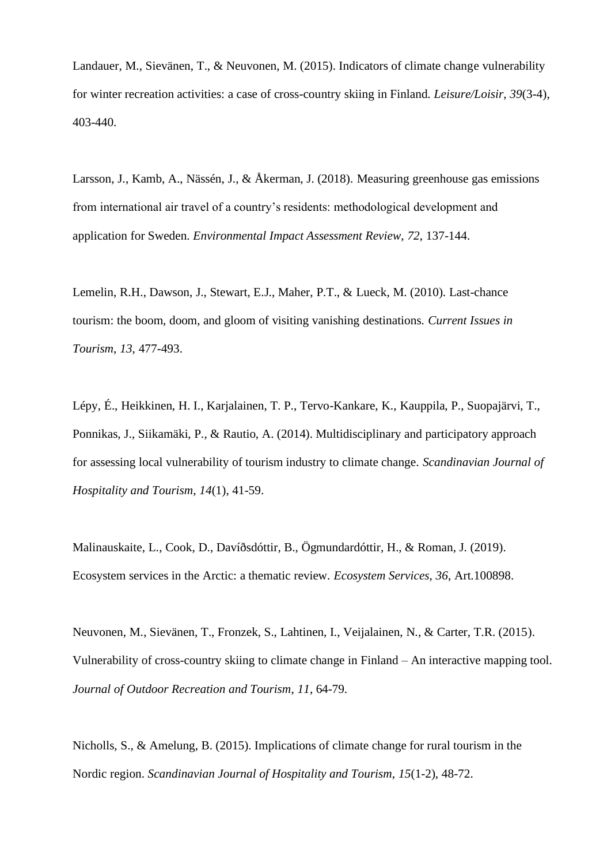Landauer, M., Sievänen, T., & Neuvonen, M. (2015). Indicators of climate change vulnerability for winter recreation activities: a case of cross-country skiing in Finland. *Leisure/Loisir*, *39*(3-4), 403-440.

Larsson, J., Kamb, A., Nässén, J., & Åkerman, J. (2018). Measuring greenhouse gas emissions from international air travel of a country's residents: methodological development and application for Sweden. *Environmental Impact Assessment Review*, *72*, 137-144.

Lemelin, R.H., Dawson, J., Stewart, E.J., Maher, P.T., & Lueck, M. (2010). Last-chance tourism: the boom, doom, and gloom of visiting vanishing destinations. *Current Issues in Tourism*, *13*, 477-493.

Lépy, É., Heikkinen, H. I., Karjalainen, T. P., Tervo-Kankare, K., Kauppila, P., Suopajärvi, T., Ponnikas, J., Siikamäki, P., & Rautio, A. (2014). Multidisciplinary and participatory approach for assessing local vulnerability of tourism industry to climate change. *Scandinavian Journal of Hospitality and Tourism*, *14*(1), 41-59.

Malinauskaite, L., Cook, D., Davíðsdóttir, B., Ögmundardóttir, H., & Roman, J. (2019). Ecosystem services in the Arctic: a thematic review. *Ecosystem Services*, *36*, Art.100898.

Neuvonen, M., Sievänen, T., Fronzek, S., Lahtinen, I., Veijalainen, N., & Carter, T.R. (2015). Vulnerability of cross-country skiing to climate change in Finland – An interactive mapping tool. *Journal of Outdoor Recreation and Tourism*, *11*, 64-79.

Nicholls, S., & Amelung, B. (2015). Implications of climate change for rural tourism in the Nordic region. *Scandinavian Journal of Hospitality and Tourism*, *15*(1-2), 48-72.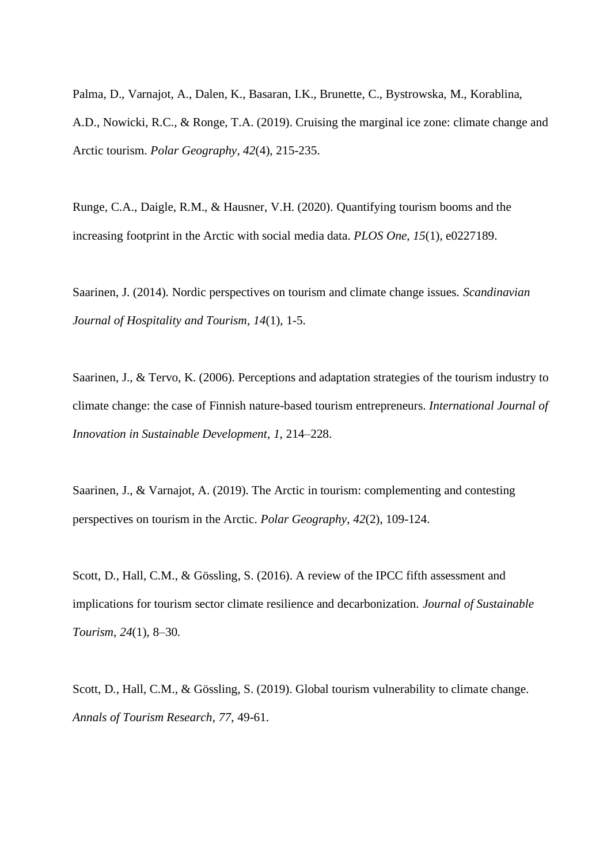Palma, D., Varnajot, A., Dalen, K., Basaran, I.K., Brunette, C., Bystrowska, M., Korablina, A.D., Nowicki, R.C., & Ronge, T.A. (2019). Cruising the marginal ice zone: climate change and Arctic tourism. *Polar Geography*, *42*(4), 215-235.

Runge, C.A., Daigle, R.M., & Hausner, V.H. (2020). Quantifying tourism booms and the increasing footprint in the Arctic with social media data. *PLOS One*, *15*(1), e0227189.

Saarinen, J. (2014). Nordic perspectives on tourism and climate change issues. *Scandinavian Journal of Hospitality and Tourism*, *14*(1), 1-5.

Saarinen, J., & Tervo, K. (2006). Perceptions and adaptation strategies of the tourism industry to climate change: the case of Finnish nature-based tourism entrepreneurs. *International Journal of Innovation in Sustainable Development*, *1*, 214–228.

Saarinen, J., & Varnajot, A. (2019). The Arctic in tourism: complementing and contesting perspectives on tourism in the Arctic. *Polar Geography*, *42*(2), 109-124.

Scott, D., Hall, C.M., & Gössling, S. (2016). A review of the IPCC fifth assessment and implications for tourism sector climate resilience and decarbonization. *Journal of Sustainable Tourism*, *24*(1), 8–30.

Scott, D., Hall, C.M., & Gössling, S. (2019). Global tourism vulnerability to climate change. *Annals of Tourism Research*, *77*, 49-61.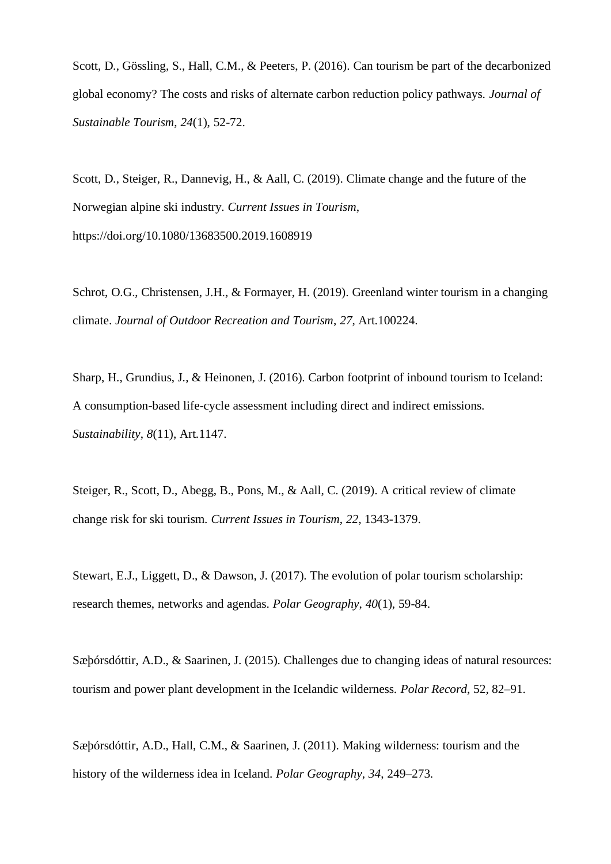Scott, D., Gössling, S., Hall, C.M., & Peeters, P. (2016). Can tourism be part of the decarbonized global economy? The costs and risks of alternate carbon reduction policy pathways. *Journal of Sustainable Tourism*, *24*(1), 52-72.

Scott, D., Steiger, R., Dannevig, H., & Aall, C. (2019). Climate change and the future of the Norwegian alpine ski industry. *Current Issues in Tourism*, https://doi.org/10.1080/13683500.2019.1608919

Schrot, O.G., Christensen, J.H., & Formayer, H. (2019). Greenland winter tourism in a changing climate. *Journal of Outdoor Recreation and Tourism*, *27*, Art.100224.

Sharp, H., Grundius, J., & Heinonen, J. (2016). Carbon footprint of inbound tourism to Iceland: A consumption-based life-cycle assessment including direct and indirect emissions. *Sustainability*, *8*(11), Art.1147.

Steiger, R., Scott, D., Abegg, B., Pons, M., & Aall, C. (2019). A critical review of climate change risk for ski tourism. *Current Issues in Tourism*, *22*, 1343-1379.

Stewart, E.J., Liggett, D., & Dawson, J. (2017). The evolution of polar tourism scholarship: research themes, networks and agendas. *Polar Geography*, *40*(1), 59-84.

Sæþórsdóttir, A.D., & Saarinen, J. (2015). Challenges due to changing ideas of natural resources: tourism and power plant development in the Icelandic wilderness. *Polar Record*, 52, 82–91.

Sæþórsdóttir, A.D., Hall, C.M., & Saarinen, J. (2011). Making wilderness: tourism and the history of the wilderness idea in Iceland. *Polar Geography*, *34*, 249–273.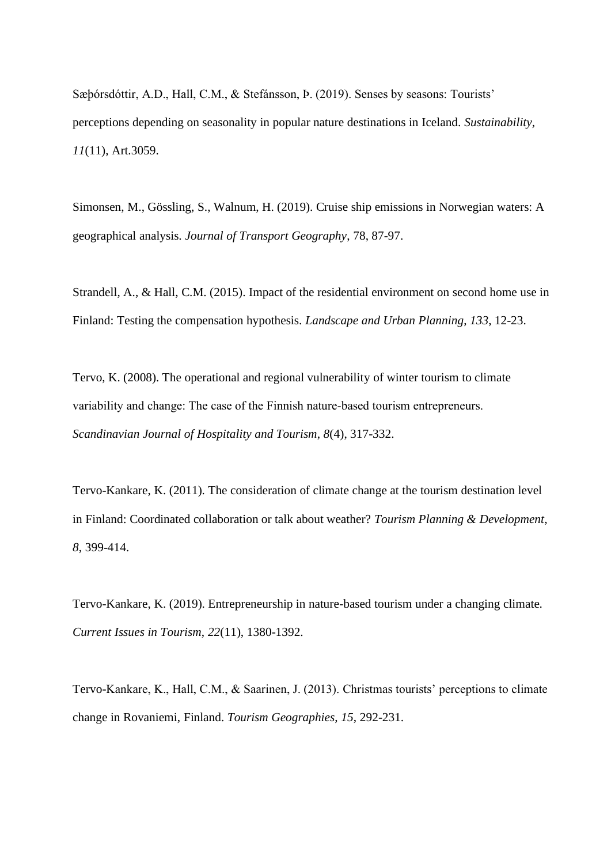Sæþórsdóttir, A.D., Hall, C.M., & Stefánsson, Þ. (2019). Senses by seasons: Tourists' perceptions depending on seasonality in popular nature destinations in Iceland. *Sustainability*, *11*(11), Art.3059.

Simonsen, M., Gössling, S., Walnum, H. (2019). Cruise ship emissions in Norwegian waters: A geographical analysis. *Journal of Transport Geography*, 78, 87-97.

Strandell, A., & Hall, C.M. (2015). Impact of the residential environment on second home use in Finland: Testing the compensation hypothesis. *Landscape and Urban Planning*, *133*, 12-23.

Tervo, K. (2008). The operational and regional vulnerability of winter tourism to climate variability and change: The case of the Finnish nature‐based tourism entrepreneurs. *Scandinavian Journal of Hospitality and Tourism*, *8*(4), 317-332.

Tervo-Kankare, K. (2011). The consideration of climate change at the tourism destination level in Finland: Coordinated collaboration or talk about weather? *Tourism Planning & Development*, *8*, 399-414.

Tervo-Kankare, K. (2019). Entrepreneurship in nature-based tourism under a changing climate. *Current Issues in Tourism*, *22*(11), 1380-1392.

Tervo-Kankare, K., Hall, C.M., & Saarinen, J. (2013). Christmas tourists' perceptions to climate change in Rovaniemi, Finland. *Tourism Geographies*, *15*, 292-231.